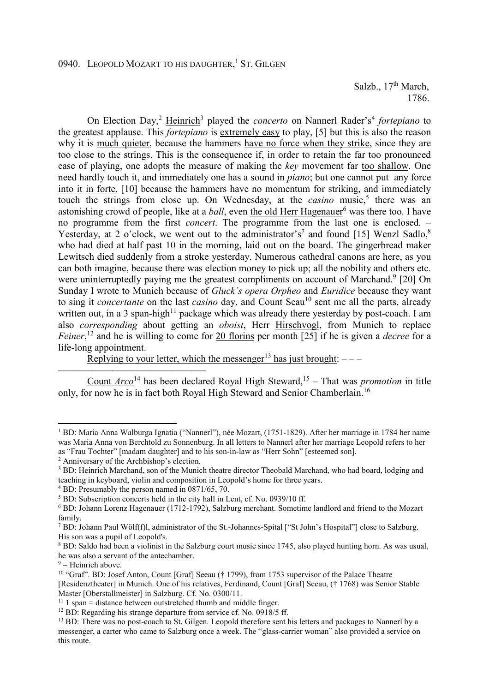Salzb., 17<sup>th</sup> March, 1786.

On Election Day,<sup>2</sup> Heinrich<sup>3</sup> played the *concerto* on Nannerl Rader's<sup>4</sup> fortepiano to the greatest applause. This *fortepiano* is extremely easy to play, [5] but this is also the reason why it is much quieter, because the hammers have no force when they strike, since they are too close to the strings. This is the consequence if, in order to retain the far too pronounced ease of playing, one adopts the measure of making the *key* movement far too shallow. One need hardly touch it, and immediately one has a sound in *piano*; but one cannot put any force into it in forte, [10] because the hammers have no momentum for striking, and immediately touch the strings from close up. On Wednesday, at the *casino* music,<sup>5</sup> there was an astonishing crowd of people, like at a *ball*, even the old Herr Hagenauer<sup>6</sup> was there too. I have no programme from the first *concert*. The programme from the last one is enclosed. – Yesterday, at 2 o'clock, we went out to the administrator's<sup>7</sup> and found [15] Wenzl Sadlo,<sup>8</sup> who had died at half past 10 in the morning, laid out on the board. The gingerbread maker Lewitsch died suddenly from a stroke yesterday. Numerous cathedral canons are here, as you can both imagine, because there was election money to pick up; all the nobility and others etc. were uninterruptedly paying me the greatest compliments on account of Marchand.<sup>9</sup> [20] On Sunday I wrote to Munich because of *Gluck's opera Orpheo* and *Euridice* because they want to sing it *concertante* on the last *casino* day, and Count Seau<sup>10</sup> sent me all the parts, already written out, in a 3 span-high<sup>11</sup> package which was already there yesterday by post-coach. I am also *corresponding* about getting an *oboist*, Herr Hirschvogl, from Munich to replace *Feiner*, <sup>12</sup> and he is willing to come for 20 florins per month [25] if he is given a *decree* for a life-long appointment.

Replying to your letter, which the messenger<sup>13</sup> has just brought:  $---$ 

Count *Arco*<sup>14</sup> has been declared Royal High Steward,<sup>15</sup> – That was *promotion* in title only, for now he is in fact both Royal High Steward and Senior Chamberlain.<sup>16</sup>

––––––––––––––––––––––––––––––

 $\overline{a}$ 

<sup>&</sup>lt;sup>1</sup> BD: Maria Anna Walburga Ignatia ("Nannerl"), née Mozart, (1751-1829). After her marriage in 1784 her name was Maria Anna von Berchtold zu Sonnenburg. In all letters to Nannerl after her marriage Leopold refers to her as "Frau Tochter" [madam daughter] and to his son-in-law as "Herr Sohn" [esteemed son].

<sup>2</sup> Anniversary of the Archbishop's election.

<sup>&</sup>lt;sup>3</sup> BD: Heinrich Marchand, son of the Munich theatre director Theobald Marchand, who had board, lodging and teaching in keyboard, violin and composition in Leopold's home for three years.

<sup>4</sup> BD: Presumably the person named in 0871/65, 70.

<sup>&</sup>lt;sup>5</sup> BD: Subscription concerts held in the city hall in Lent, cf. No. 0939/10 ff.

<sup>&</sup>lt;sup>6</sup> BD: Johann Lorenz Hagenauer (1712-1792), Salzburg merchant. Sometime landlord and friend to the Mozart family.

<sup>&</sup>lt;sup>7</sup> BD: Johann Paul Wölf(f)l, administrator of the St.-Johannes-Spital ["St John's Hospital"] close to Salzburg. His son was a pupil of Leopold's.

<sup>&</sup>lt;sup>8</sup> BD: Saldo had been a violinist in the Salzburg court music since 1745, also played hunting horn. As was usual, he was also a servant of the antechamber.

 $9$  = Heinrich above.

<sup>&</sup>lt;sup>10</sup> "Graf". BD: Josef Anton, Count [Graf] Seeau († 1799), from 1753 supervisor of the Palace Theatre [Residenztheater] in Munich. One of his relatives, Ferdinand, Count [Graf] Seeau, († 1768) was Senior Stable Master [Oberstallmeister] in Salzburg. Cf. No. 0300/11.

 $11$  1 span = distance between outstretched thumb and middle finger.

 $12$  BD: Regarding his strange departure from service cf. No. 0918/5 ff.

<sup>&</sup>lt;sup>13</sup> BD: There was no post-coach to St. Gilgen. Leopold therefore sent his letters and packages to Nannerl by a messenger, a carter who came to Salzburg once a week. The "glass-carrier woman" also provided a service on this route.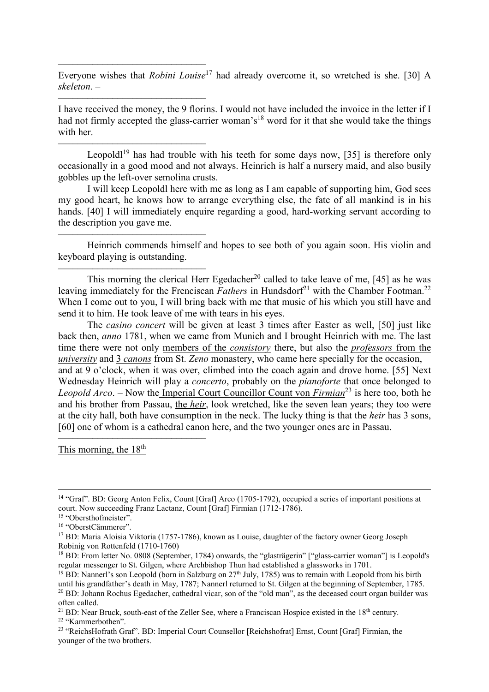Everyone wishes that *Robini Louise*<sup>17</sup> had already overcome it, so wretched is she. [30] A *skeleton*. –

I have received the money, the 9 florins. I would not have included the invoice in the letter if I had not firmly accepted the glass-carrier woman's<sup>18</sup> word for it that she would take the things with her.

Leopold<sup>19</sup> has had trouble with his teeth for some days now, [35] is therefore only occasionally in a good mood and not always. Heinrich is half a nursery maid, and also busily gobbles up the left-over semolina crusts.

I will keep Leopoldl here with me as long as I am capable of supporting him, God sees my good heart, he knows how to arrange everything else, the fate of all mankind is in his hands. [40] I will immediately enquire regarding a good, hard-working servant according to the description you gave me.

Heinrich commends himself and hopes to see both of you again soon. His violin and keyboard playing is outstanding.

This morning the clerical Herr Egedacher<sup>20</sup> called to take leave of me,  $[45]$  as he was leaving immediately for the Frenciscan *Fathers* in Hundsdorf<sup>21</sup> with the Chamber Footman.<sup>22</sup> When I come out to you, I will bring back with me that music of his which you still have and send it to him. He took leave of me with tears in his eyes.

The *casino concert* will be given at least 3 times after Easter as well, [50] just like back then, *anno* 1781, when we came from Munich and I brought Heinrich with me. The last time there were not only members of the *consistory* there, but also the *professors* from the *university* and 3 *canons* from St. *Zeno* monastery, who came here specially for the occasion, and at 9 o'clock, when it was over, climbed into the coach again and drove home. [55] Next Wednesday Heinrich will play a *concerto*, probably on the *pianoforte* that once belonged to *Leopold Arco.* – Now the Imperial Court Councillor Count von *Firmian*<sup>23</sup> is here too, both he and his brother from Passau, the *heir*, look wretched, like the seven lean years; they too were at the city hall, both have consumption in the neck. The lucky thing is that the *heir* has 3 sons, [60] one of whom is a cathedral canon here, and the two younger ones are in Passau.

This morning, the  $18<sup>th</sup>$ 

––––––––––––––––––––––––––––––

––––––––––––––––––––––––––––––

––––––––––––––––––––––––––––––

––––––––––––––––––––––––––––––

––––––––––––––––––––––––––––––

––––––––––––––––––––––––––––––

 $\overline{a}$ 

<sup>14</sup> "Graf". BD: Georg Anton Felix, Count [Graf] Arco (1705-1792), occupied a series of important positions at court. Now succeeding Franz Lactanz, Count [Graf] Firmian (1712-1786).

<sup>&</sup>lt;sup>15</sup> "Obersthofmeister".

<sup>16</sup> "OberstCämmerer".

<sup>&</sup>lt;sup>17</sup> BD: Maria Aloisia Viktoria (1757-1786), known as Louise, daughter of the factory owner Georg Joseph Robinig von Rottenfeld (1710-1760)

<sup>&</sup>lt;sup>18</sup> BD: From letter No. 0808 (September, 1784) onwards, the "glasträgerin" ["glass-carrier woman"] is Leopold's regular messenger to St. Gilgen, where Archbishop Thun had established a glassworks in 1701.

<sup>&</sup>lt;sup>19</sup> BD: Nannerl's son Leopold (born in Salzburg on  $27<sup>th</sup>$  July, 1785) was to remain with Leopold from his birth until his grandfather's death in May, 1787; Nannerl returned to St. Gilgen at the beginning of September, 1785. <sup>20</sup> BD: Johann Rochus Egedacher, cathedral vicar, son of the "old man", as the deceased court organ builder was often called.

<sup>&</sup>lt;sup>21</sup> BD: Near Bruck, south-east of the Zeller See, where a Franciscan Hospice existed in the  $18<sup>th</sup>$  century.

<sup>22</sup> "Kammerbothen".

<sup>&</sup>lt;sup>23</sup> "ReichsHofrath Graf". BD: Imperial Court Counsellor [Reichshofrat] Ernst, Count [Graf] Firmian, the younger of the two brothers.